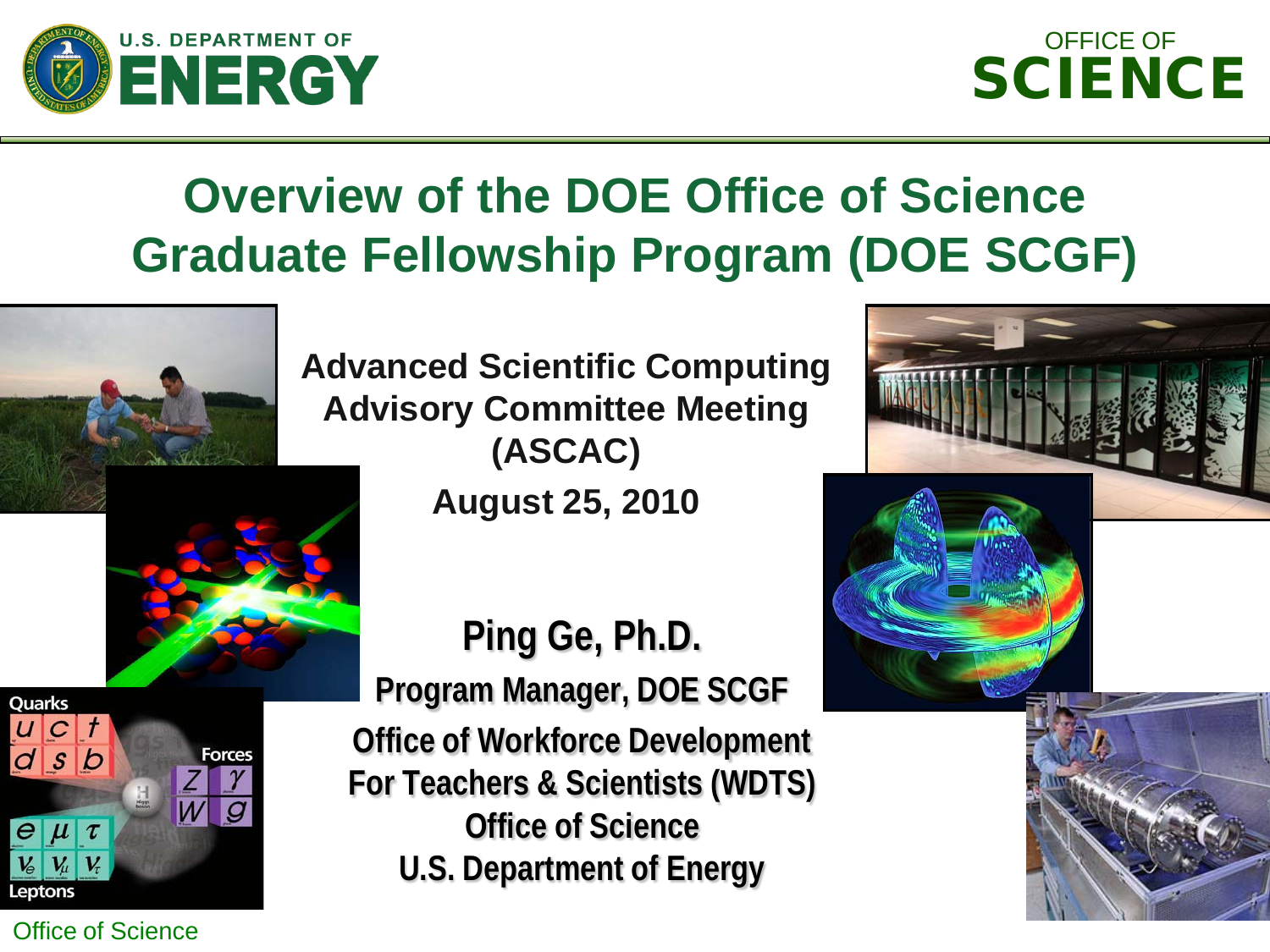



# **Overview of the DOE Office of Science Graduate Fellowship Program (DOE SCGF)**



**Advanced Scientific Computing Advisory Committee Meeting (ASCAC)**

**August 25, 2010**



Office of Science

**Ping Ge, Ph.D. Program Manager, DOE SCGF Office of Workforce Development For Teachers & Scientists (WDTS) Office of Science U.S. Department of Energy**

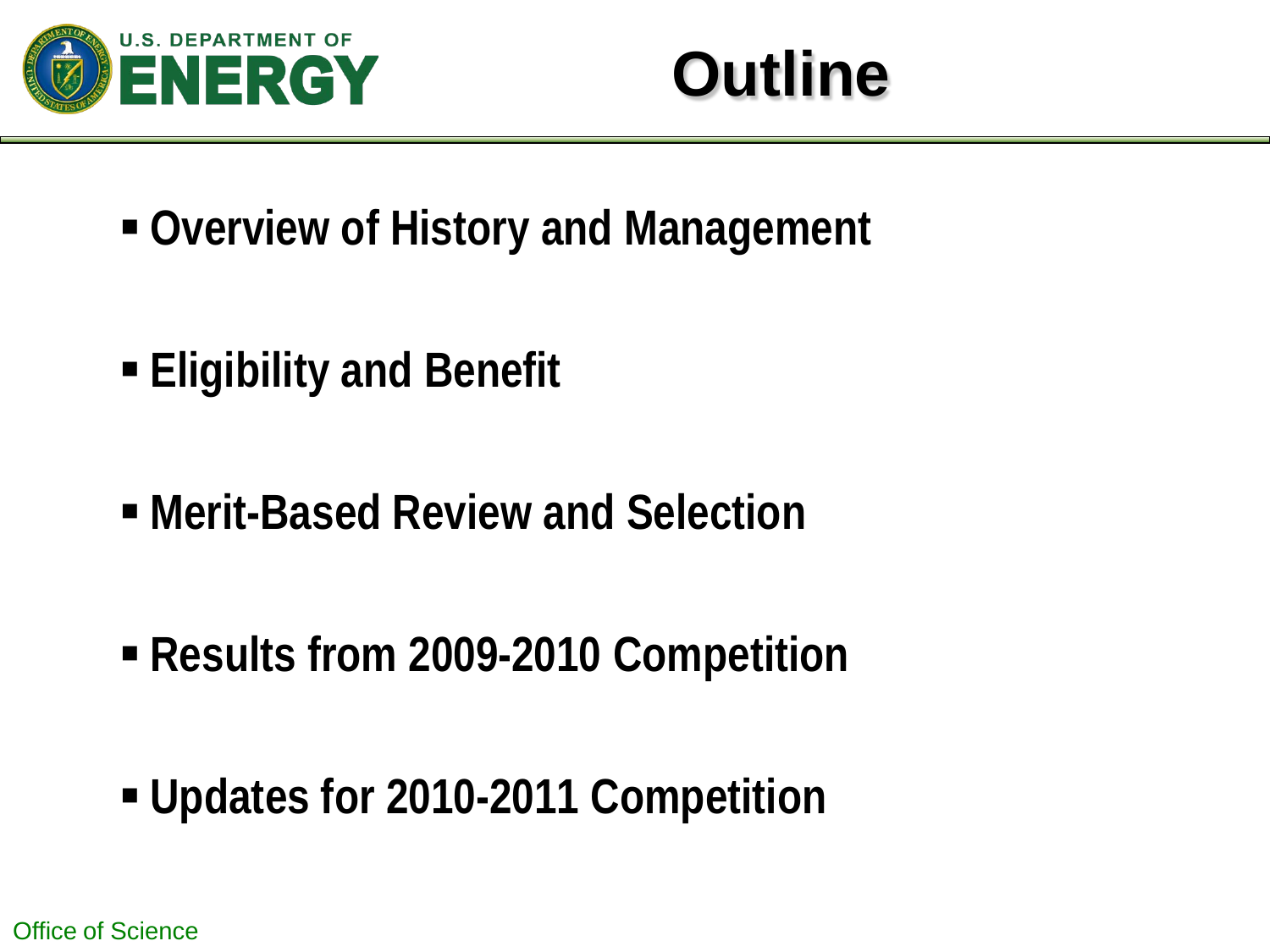

# **Outline**

- **Overview of History and Management**
- **Eligibility and Benefit**
- **Merit-Based Review and Selection**
- **Results from 2009-2010 Competition**
- **Updates for 2010-2011 Competition**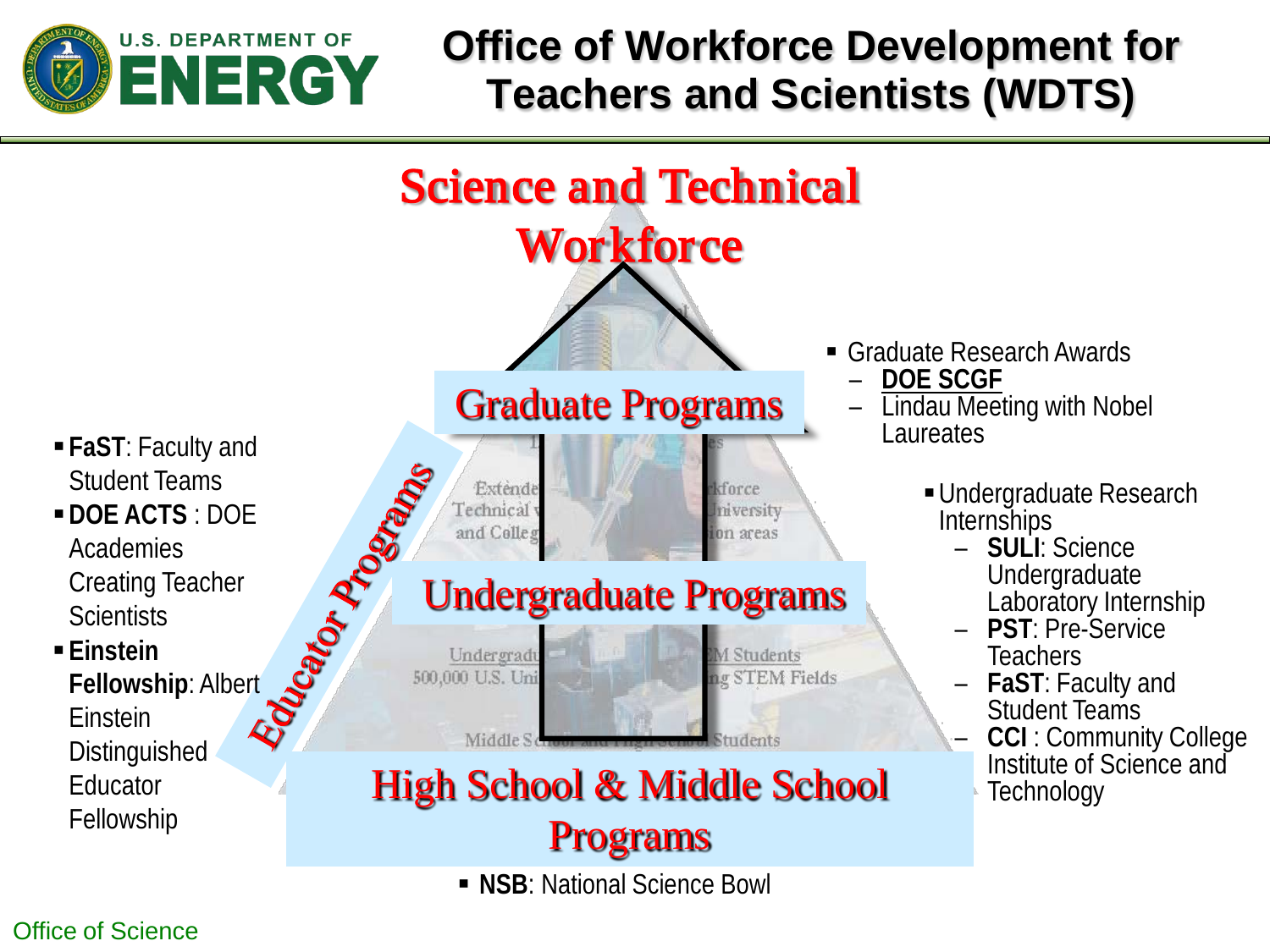

## **Office of Workforce Development for Teachers and Scientists (WDTS)**

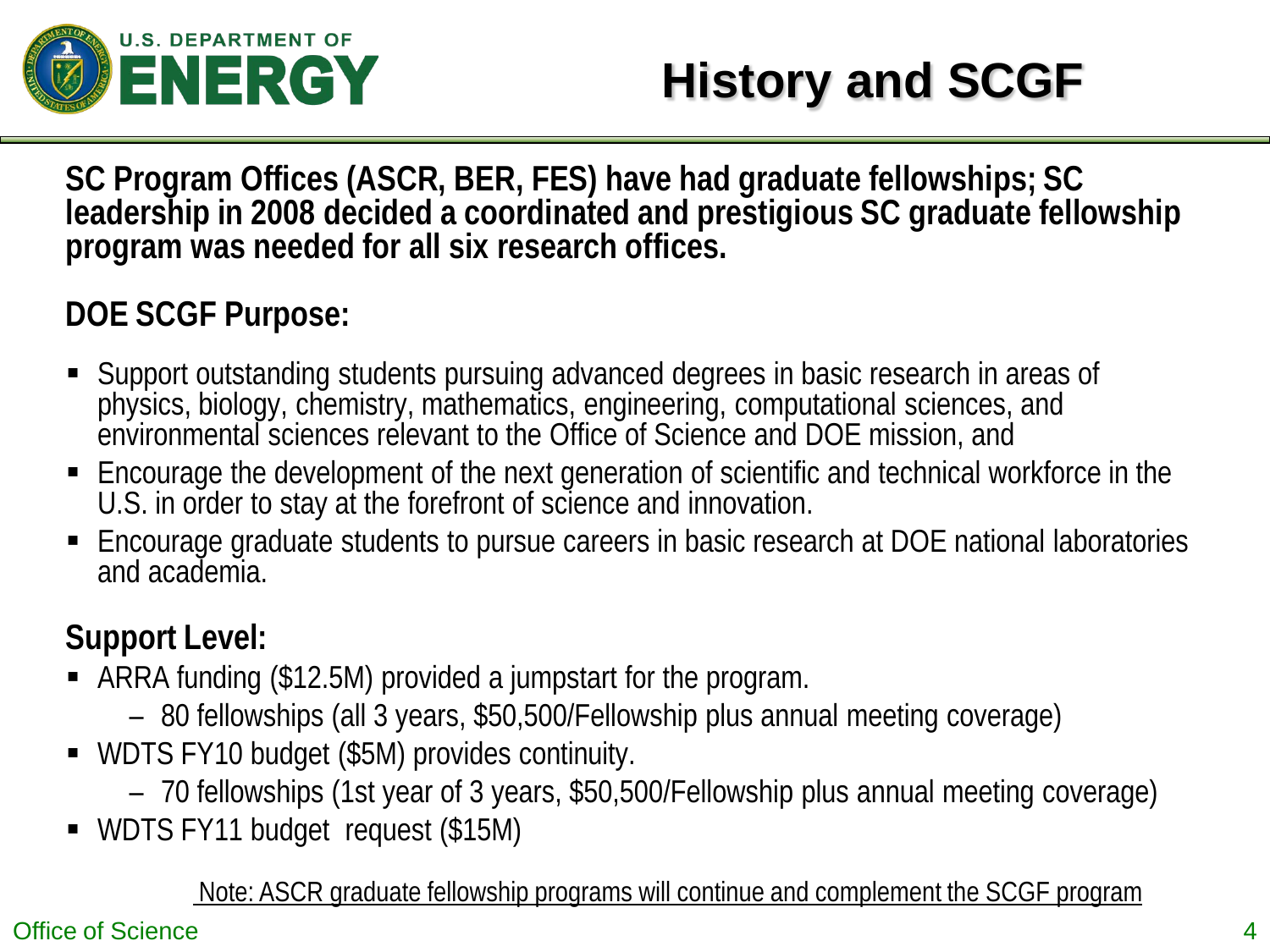

# **History and SCGF**

**SC Program Offices (ASCR, BER, FES) have had graduate fellowships; SC leadership in 2008 decided a coordinated and prestigious SC graduate fellowship program was needed for all six research offices.**

### **DOE SCGF Purpose:**

- Support outstanding students pursuing advanced degrees in basic research in areas of physics, biology, chemistry, mathematics, engineering, computational sciences, and environmental sciences relevant to the Office of Science and DOE mission, and
- Encourage the development of the next generation of scientific and technical workforce in the U.S. in order to stay at the forefront of science and innovation.
- Encourage graduate students to pursue careers in basic research at DOE national laboratories and academia.

### **Support Level:**

- ARRA funding (\$12.5M) provided a jumpstart for the program.
	- 80 fellowships (all 3 years, \$50,500/Fellowship plus annual meeting coverage)
- WDTS FY10 budget (\$5M) provides continuity.
	- 70 fellowships (1st year of 3 years, \$50,500/Fellowship plus annual meeting coverage)
- WDTS FY11 budget request (\$15M)

Note: ASCR graduate fellowship programs will continue and complement the SCGF program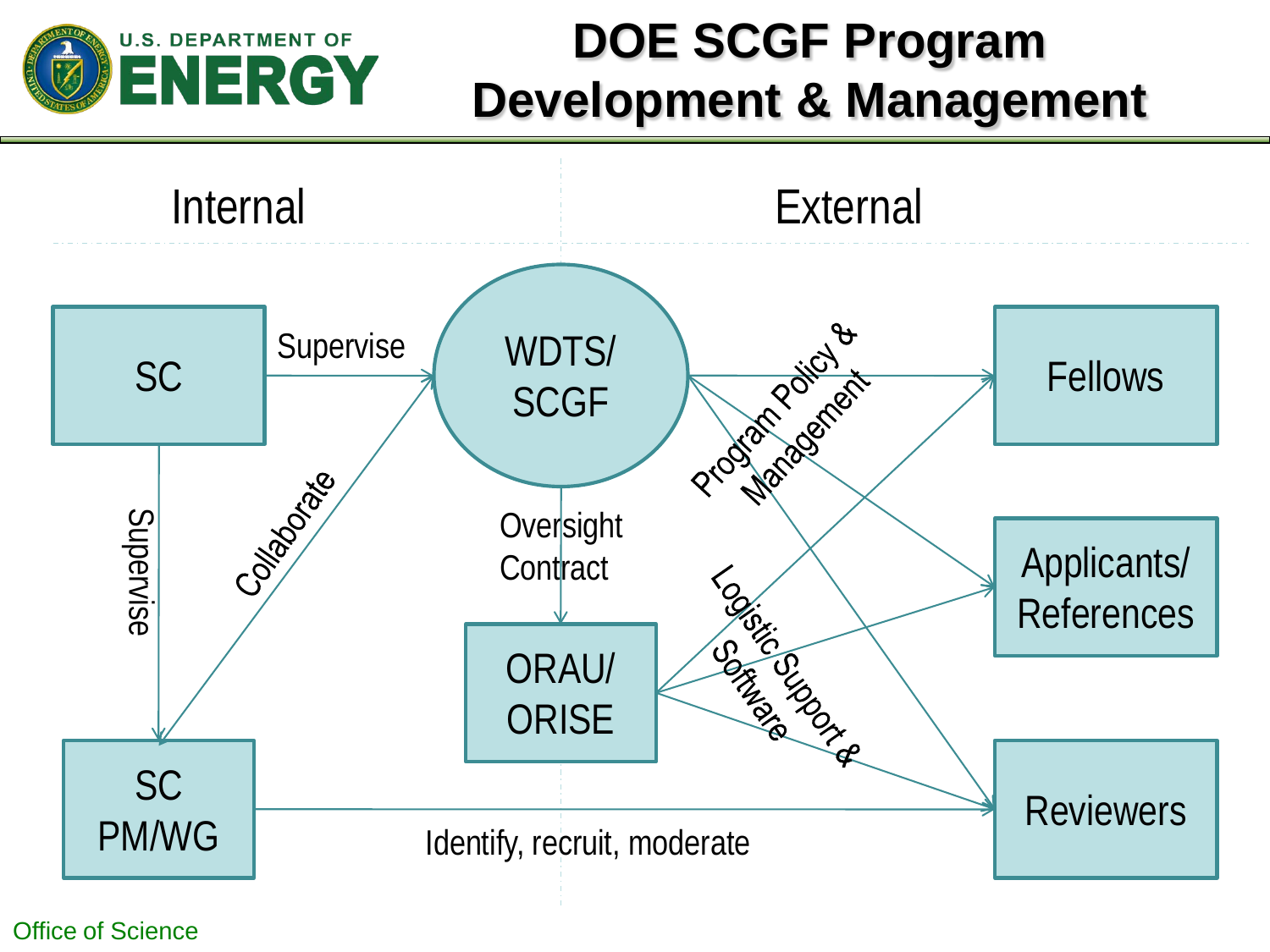

# **DOE SCGF Program Development & Management**

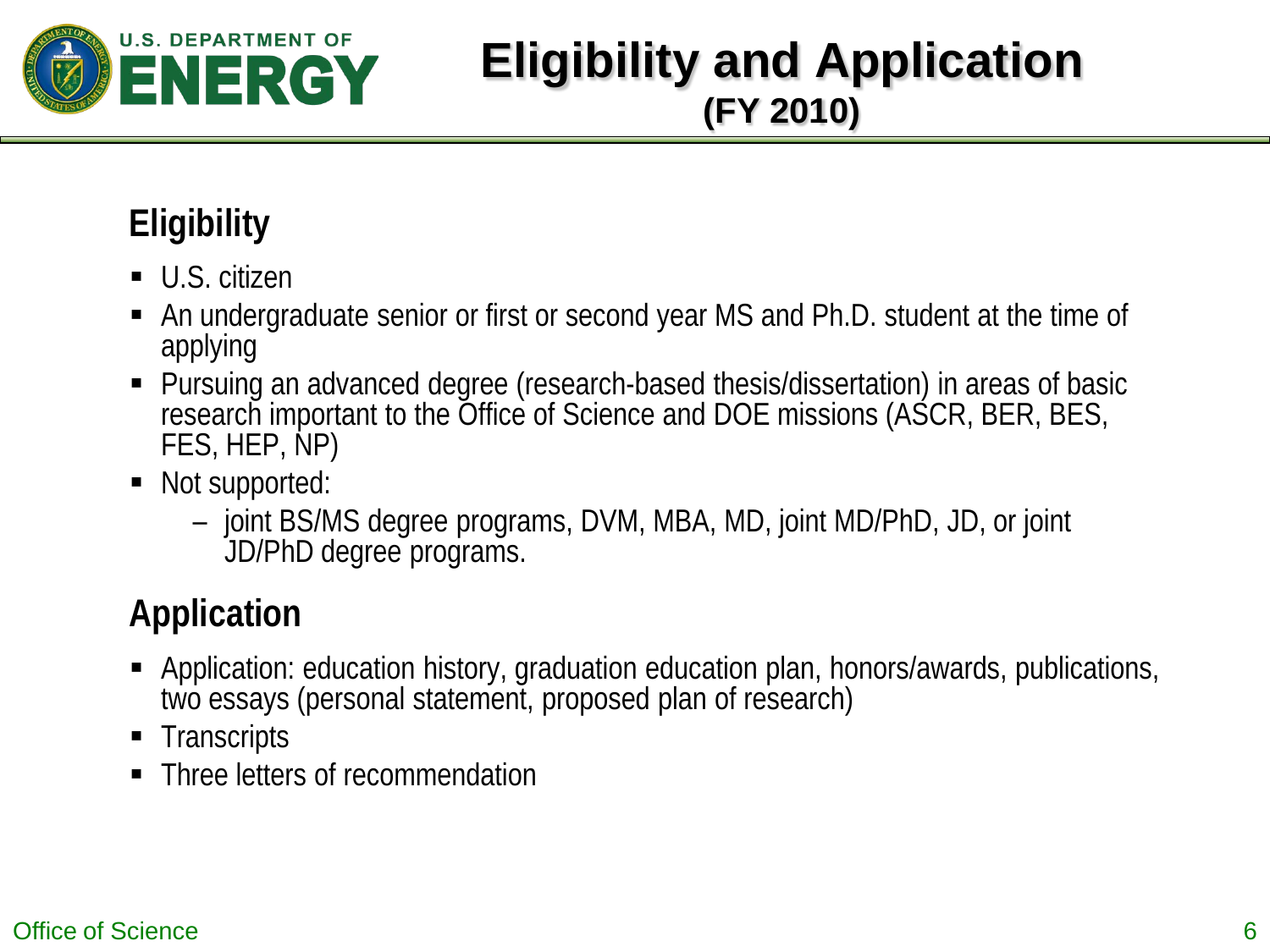

## **Eligibility and Application (FY 2010)**

## **Eligibility**

- U.S. citizen
- An undergraduate senior or first or second year MS and Ph.D. student at the time of applying
- Pursuing an advanced degree (research-based thesis/dissertation) in areas of basic research important to the Office of Science and DOE missions (ASCR, BER, BES, FES, HEP, NP)
- Not supported:
	- joint BS/MS degree programs, DVM, MBA, MD, joint MD/PhD, JD, or joint JD/PhD degree programs.

## **Application**

- Application: education history, graduation education plan, honors/awards, publications, two essays (personal statement, proposed plan of research)
- Transcripts
- Three letters of recommendation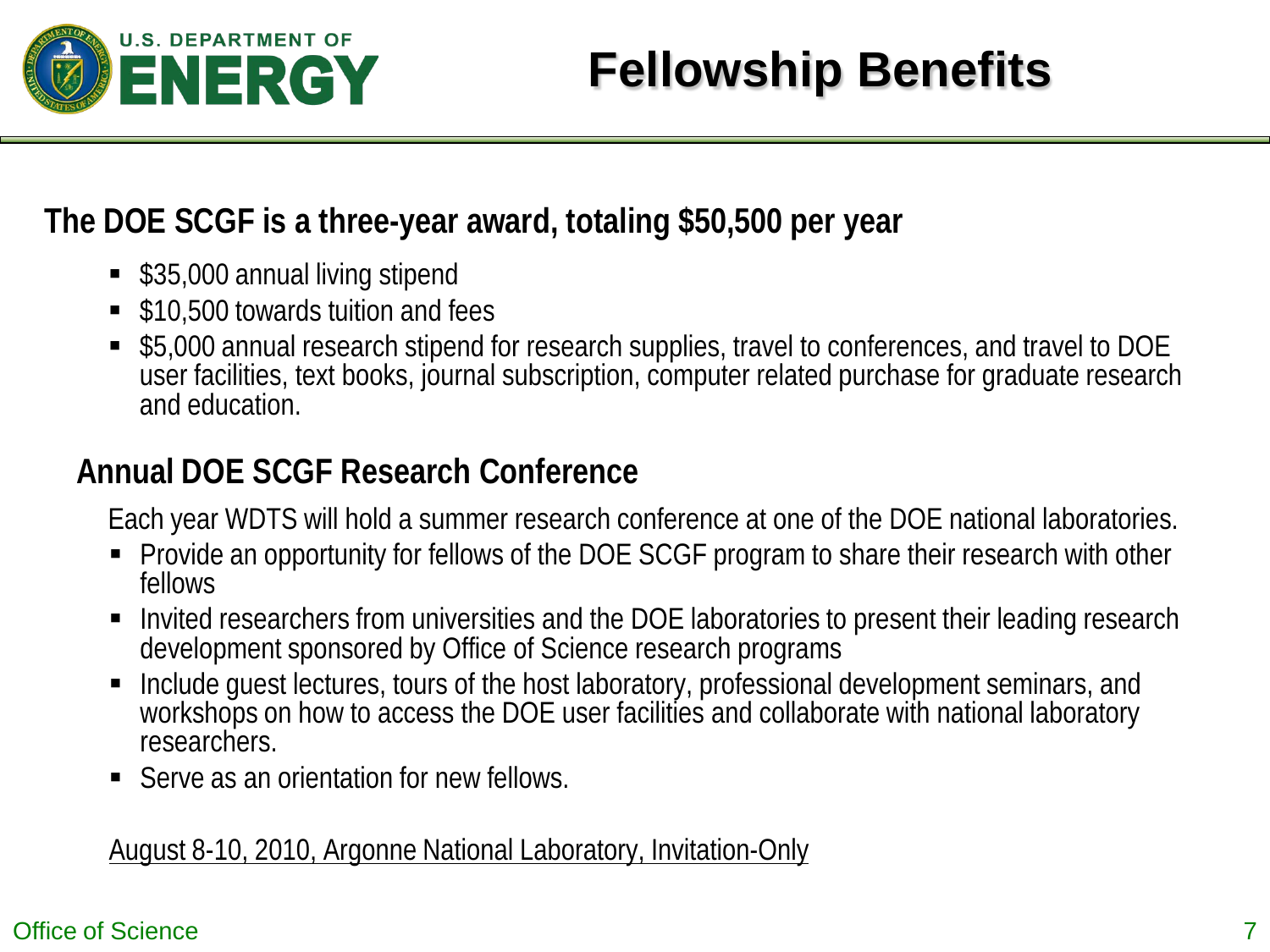

#### **The DOE SCGF is a three-year award, totaling \$50,500 per year**

- \$35,000 annual living stipend
- \$10,500 towards tuition and fees
- \$5,000 annual research stipend for research supplies, travel to conferences, and travel to DOE user facilities, text books, journal subscription, computer related purchase for graduate research and education.

#### **Annual DOE SCGF Research Conference**

Each year WDTS will hold a summer research conference at one of the DOE national laboratories.

- Provide an opportunity for fellows of the DOE SCGF program to share their research with other fellows
- Invited researchers from universities and the DOE laboratories to present their leading research development sponsored by Office of Science research programs
- **Include guest lectures, tours of the host laboratory, professional development seminars, and** workshops on how to access the DOE user facilities and collaborate with national laboratory researchers.
- Serve as an orientation for new fellows.

#### August 8-10, 2010, Argonne National Laboratory, Invitation-Only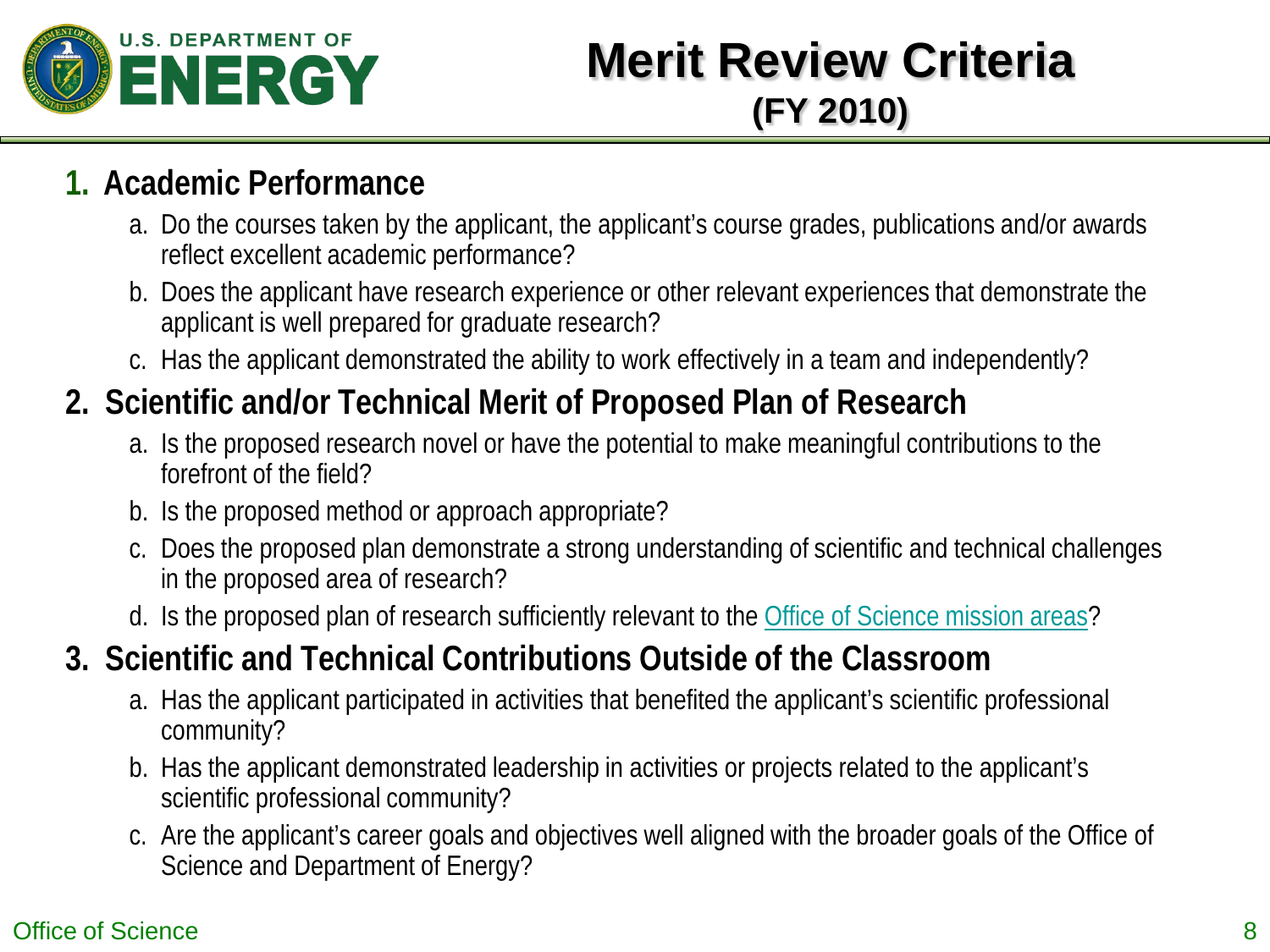

## **Merit Review Criteria (FY 2010)**

#### **1. Academic Performance**

- a. Do the courses taken by the applicant, the applicant's course grades, publications and/or awards reflect excellent academic performance?
- b. Does the applicant have research experience or other relevant experiences that demonstrate the applicant is well prepared for graduate research?
- c. Has the applicant demonstrated the ability to work effectively in a team and independently?

## **2. Scientific and/or Technical Merit of Proposed Plan of Research**

- a. Is the proposed research novel or have the potential to make meaningful contributions to the forefront of the field?
- b. Is the proposed method or approach appropriate?
- c. Does the proposed plan demonstrate a strong understanding of scientific and technical challenges in the proposed area of research?
- d. Is the proposed plan of research sufficiently relevant to the [Office of Science mission areas?](http://www.scied.science.doe.gov/SCGF/research.html)

## **3. Scientific and Technical Contributions Outside of the Classroom**

- a. Has the applicant participated in activities that benefited the applicant's scientific professional community?
- b. Has the applicant demonstrated leadership in activities or projects related to the applicant's scientific professional community?
- c. Are the applicant's career goals and objectives well aligned with the broader goals of the Office of Science and Department of Energy?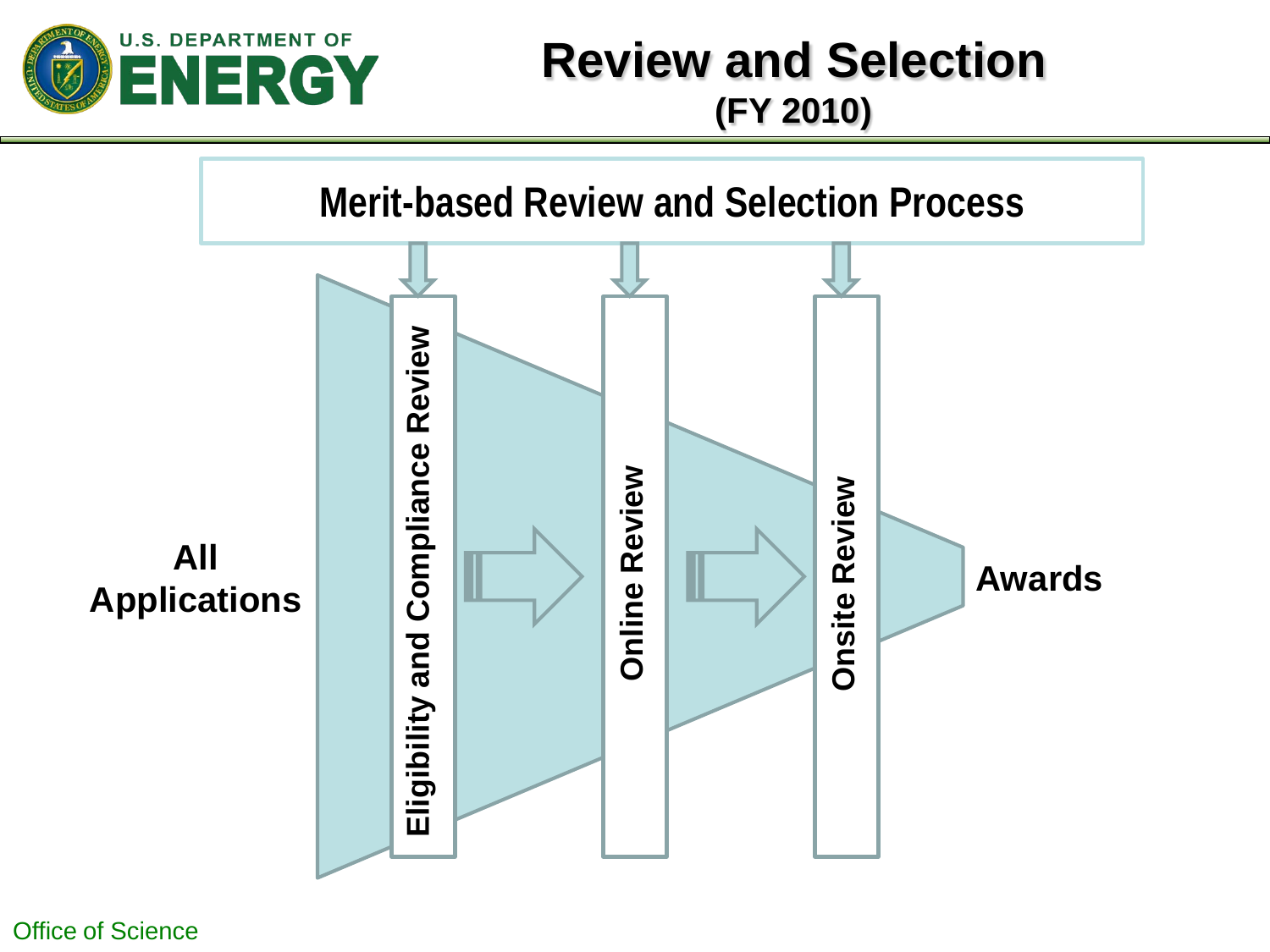

## **Review and Selection (FY 2010)**

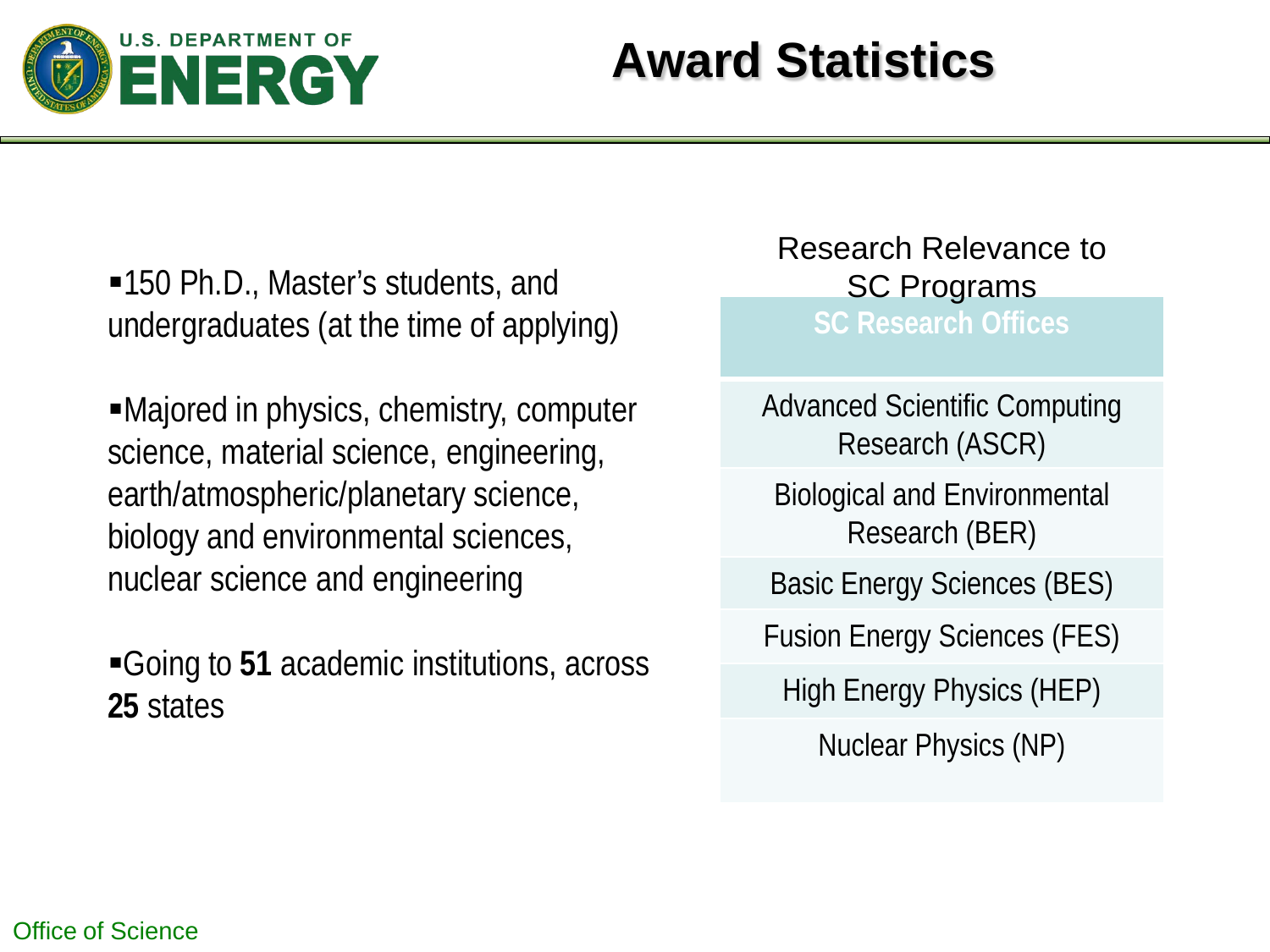

# **Award Statistics**

•150 Ph.D., Master's students, and SC Programs undergraduates (at the time of applying)

Majored in physics, chemistry, computer science, material science, engineering, earth/atmospheric/planetary science, biology and environmental sciences, nuclear science and engineering

Going to **51** academic institutions, across **25** states

**SC Research Offices** Research Relevance to

Advanced Scientific Computing Research (ASCR)

Biological and Environmental Research (BER)

Basic Energy Sciences (BES)

Fusion Energy Sciences (FES)

High Energy Physics (HEP)

Nuclear Physics (NP)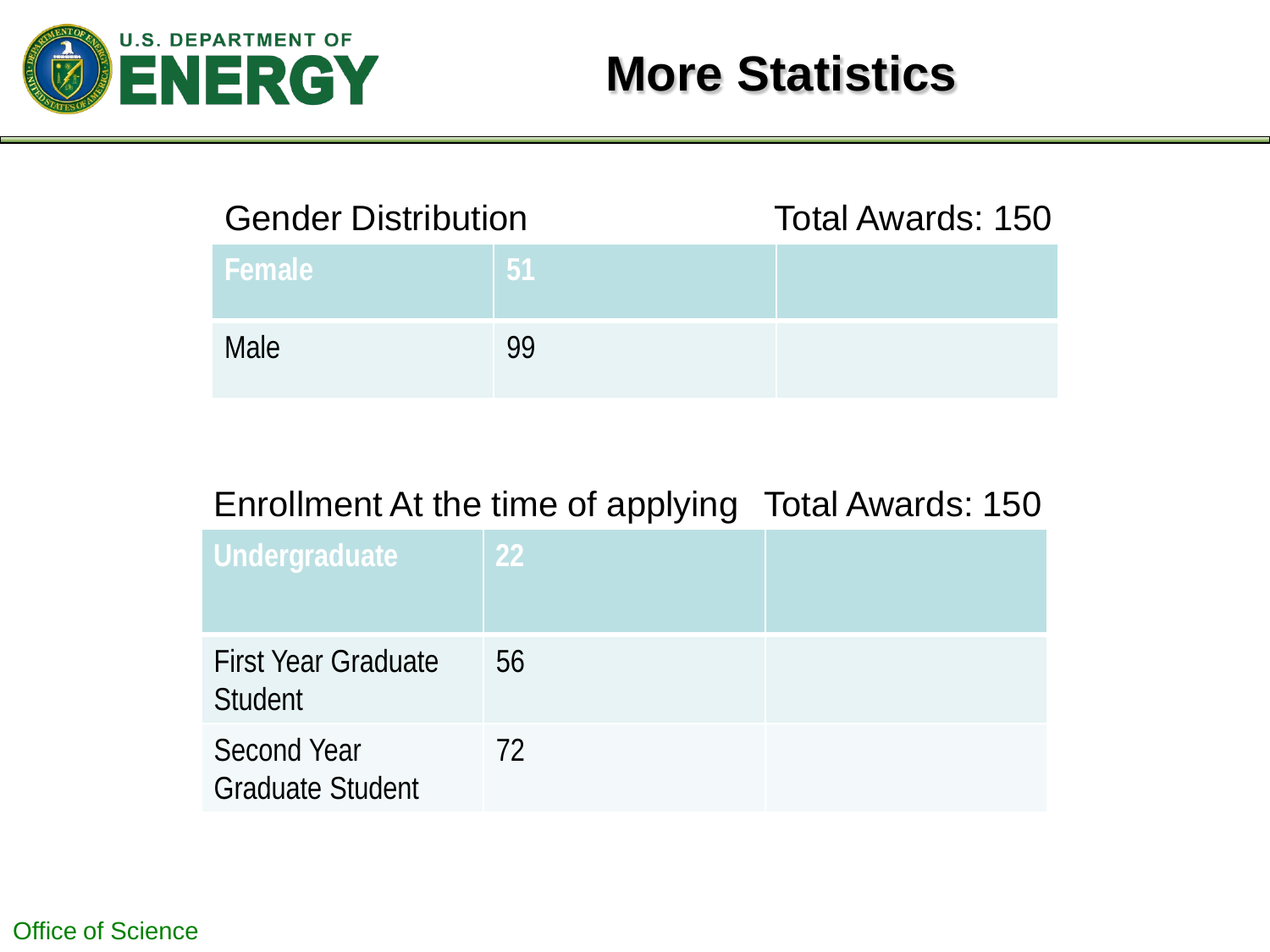

| <b>Gender Distribution</b> |     | Total Awards: 150 |
|----------------------------|-----|-------------------|
| Female <sup>®</sup>        | -51 |                   |
| <b>Male</b>                | QQ. |                   |

#### Enrollment At the time of applying Total Awards: 150

| Undergraduate                                 | <b>22</b> |  |
|-----------------------------------------------|-----------|--|
| <b>First Year Graduate</b><br>Student         | 56        |  |
| <b>Second Year</b><br><b>Graduate Student</b> | 72        |  |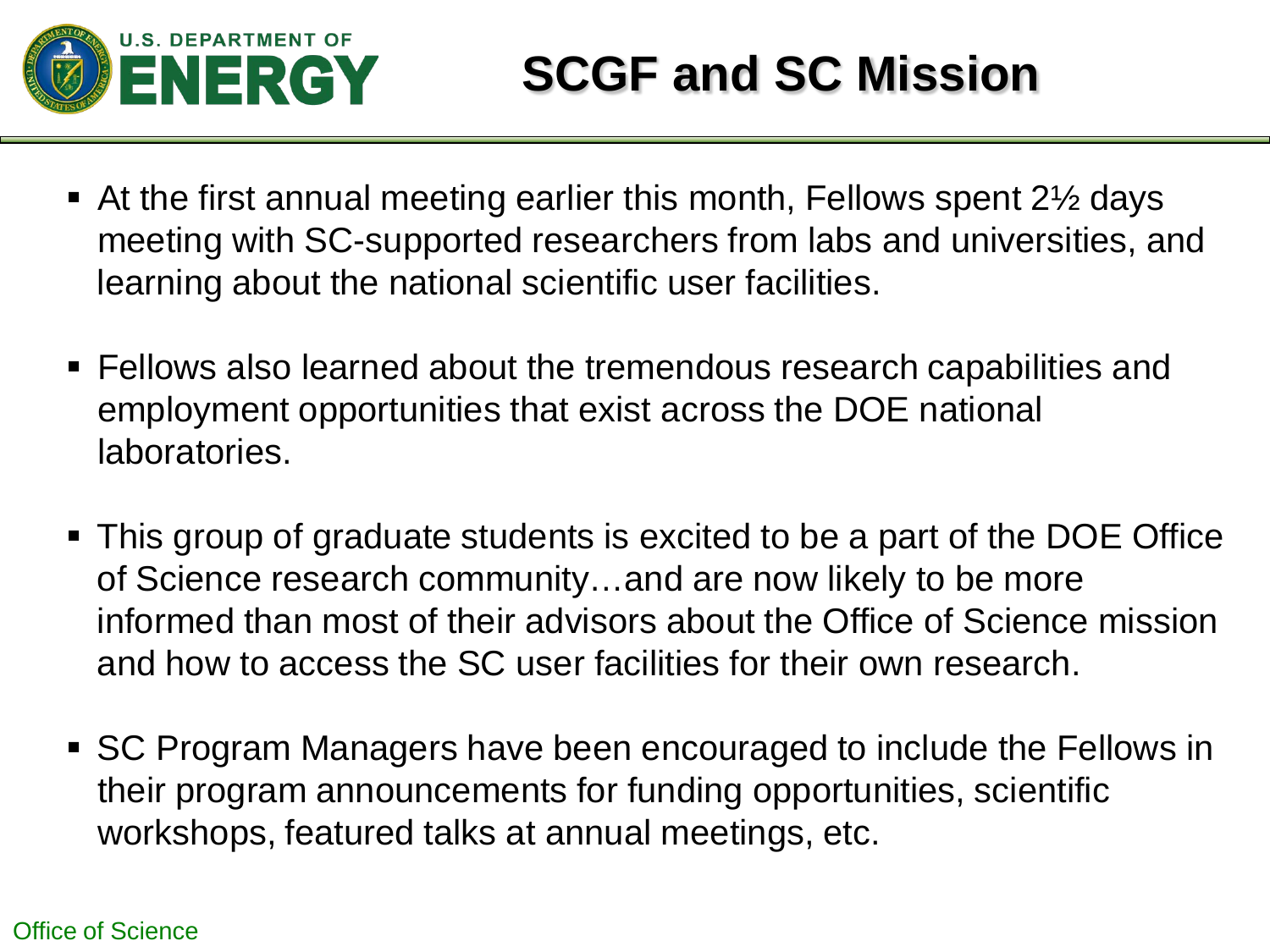

- At the first annual meeting earlier this month, Fellows spent 2½ days meeting with SC-supported researchers from labs and universities, and learning about the national scientific user facilities.
- Fellows also learned about the tremendous research capabilities and employment opportunities that exist across the DOE national laboratories.
- This group of graduate students is excited to be a part of the DOE Office of Science research community…and are now likely to be more informed than most of their advisors about the Office of Science mission and how to access the SC user facilities for their own research.
- SC Program Managers have been encouraged to include the Fellows in their program announcements for funding opportunities, scientific workshops, featured talks at annual meetings, etc.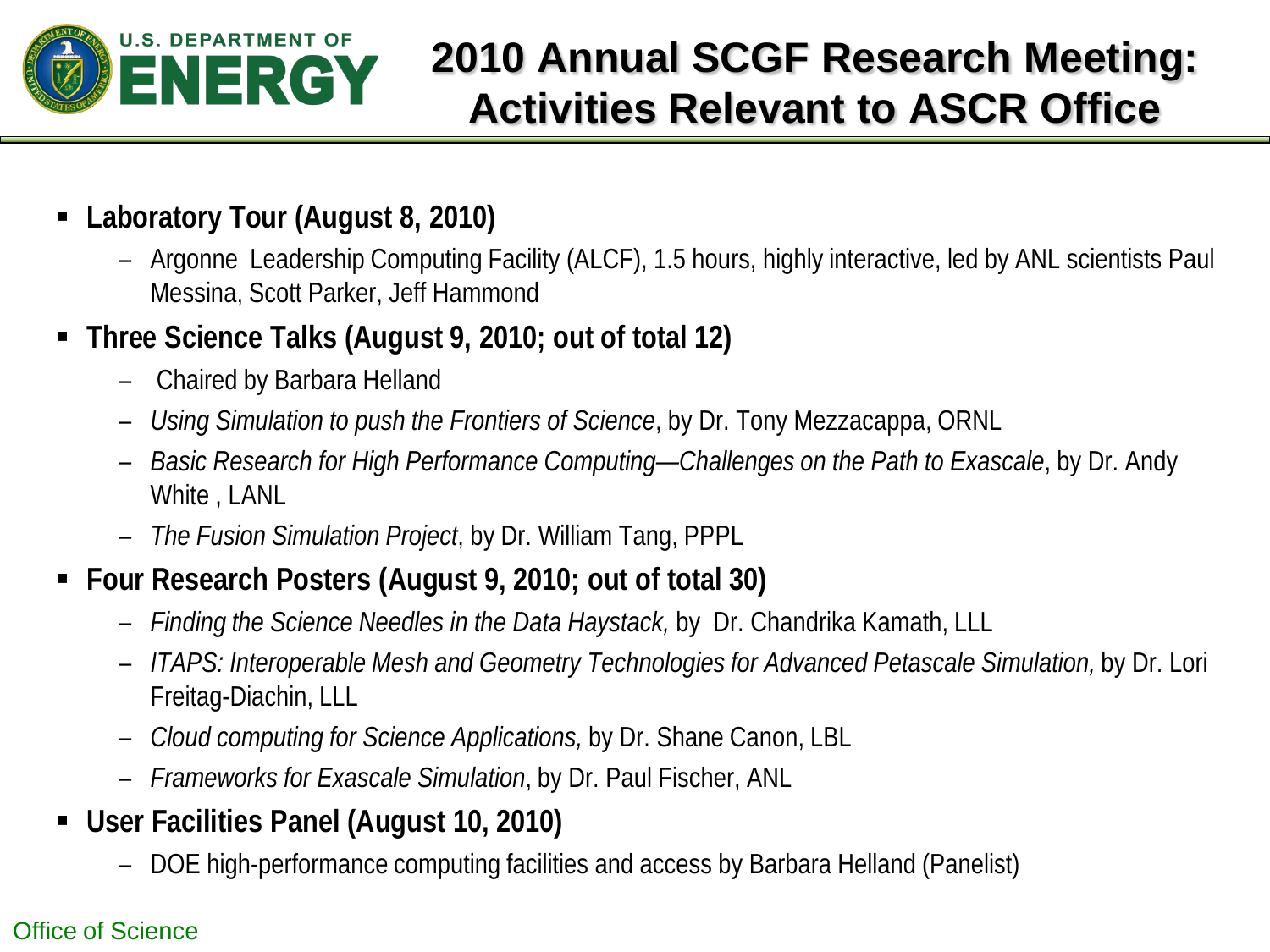

## **2010 Annual SCGF Research Meeting: Activities Relevant to ASCR Office**

- **Laboratory Tour (August 8, 2010)**
	- Argonne Leadership Computing Facility (ALCF), 1.5 hours, highly interactive, led by ANL scientists Paul Messina, Scott Parker, Jeff Hammond
- **Three Science Talks (August 9, 2010; out of total 12)**
	- Chaired by Barbara Helland
	- *Using Simulation to push the Frontiers of Science*, by Dr. Tony Mezzacappa, ORNL
	- *Basic Research for High Performance Computing—Challenges on the Path to Exascale*, by Dr. Andy White , LANL
	- *The Fusion Simulation Project*, by Dr. William Tang, PPPL
- **Four Research Posters (August 9, 2010; out of total 30)**
	- *Finding the Science Needles in the Data Haystack,* by Dr. Chandrika Kamath, LLL
	- *ITAPS: Interoperable Mesh and Geometry Technologies for Advanced Petascale Simulation,* by Dr. Lori Freitag-Diachin, LLL
	- *Cloud computing for Science Applications,* by Dr. Shane Canon, LBL
	- *Frameworks for Exascale Simulation*, by Dr. Paul Fischer, ANL
- **User Facilities Panel (August 10, 2010)**
	- DOE high-performance computing facilities and access by Barbara Helland (Panelist)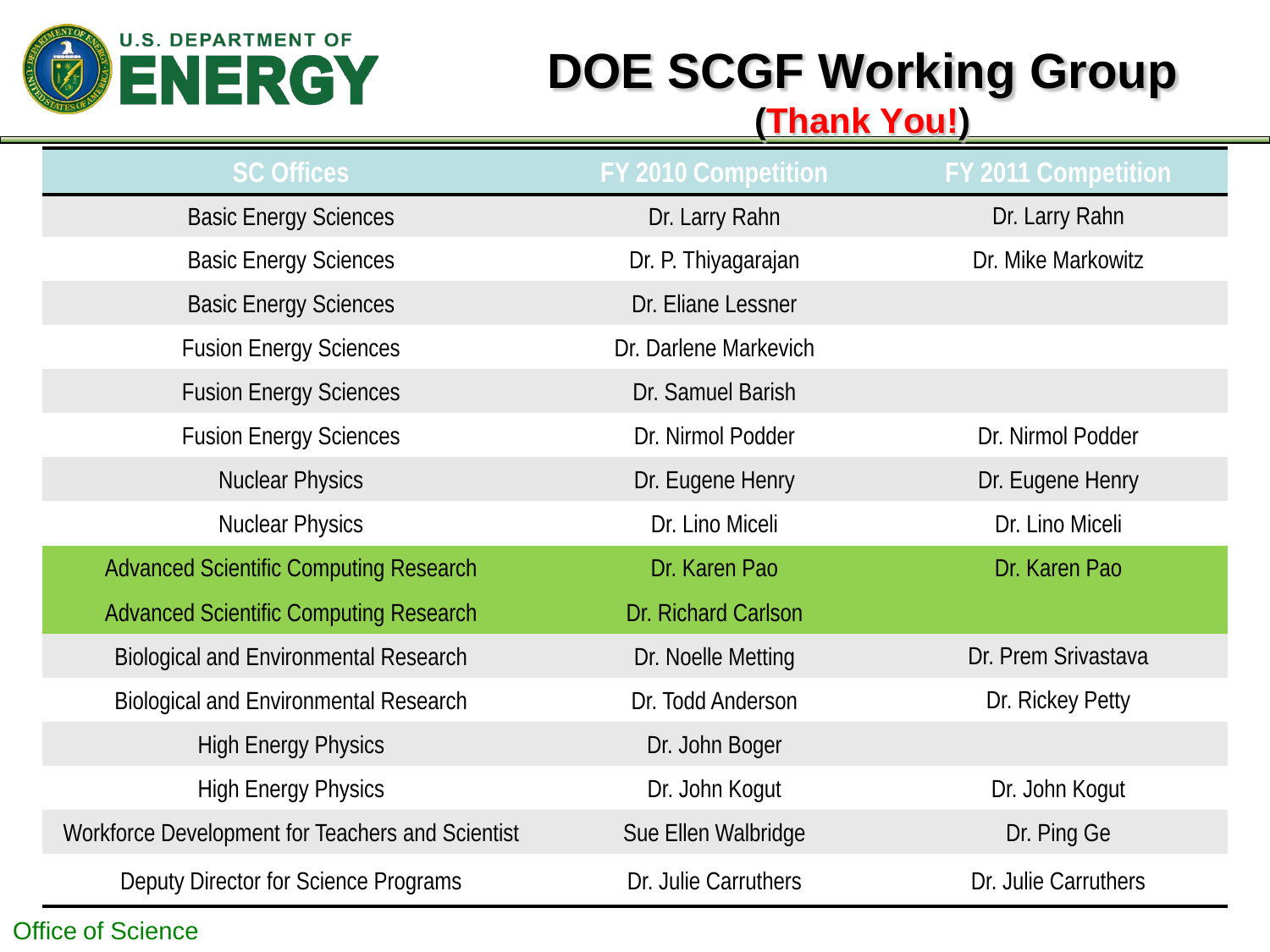

# **DOE SCGF Working Group**

#### **(Thank You!)**

| <b>SC Offices</b>                                | <b>FY 2010 Competition</b> | <b>FY 2011 Competition</b> |
|--------------------------------------------------|----------------------------|----------------------------|
| <b>Basic Energy Sciences</b>                     | Dr. Larry Rahn             | Dr. Larry Rahn             |
| <b>Basic Energy Sciences</b>                     | Dr. P. Thiyagarajan        | Dr. Mike Markowitz         |
| <b>Basic Energy Sciences</b>                     | Dr. Eliane Lessner         |                            |
| <b>Fusion Energy Sciences</b>                    | Dr. Darlene Markevich      |                            |
| <b>Fusion Energy Sciences</b>                    | Dr. Samuel Barish          |                            |
| <b>Fusion Energy Sciences</b>                    | Dr. Nirmol Podder          | Dr. Nirmol Podder          |
| <b>Nuclear Physics</b>                           | Dr. Eugene Henry           | Dr. Eugene Henry           |
| <b>Nuclear Physics</b>                           | Dr. Lino Miceli            | Dr. Lino Miceli            |
| <b>Advanced Scientific Computing Research</b>    | Dr. Karen Pao              | Dr. Karen Pao              |
| <b>Advanced Scientific Computing Research</b>    | Dr. Richard Carlson        |                            |
| <b>Biological and Environmental Research</b>     | Dr. Noelle Metting         | Dr. Prem Srivastava        |
| <b>Biological and Environmental Research</b>     | Dr. Todd Anderson          | Dr. Rickey Petty           |
| <b>High Energy Physics</b>                       | Dr. John Boger             |                            |
| <b>High Energy Physics</b>                       | Dr. John Kogut             | Dr. John Kogut             |
| Workforce Development for Teachers and Scientist | Sue Ellen Walbridge        | Dr. Ping Ge                |
| Deputy Director for Science Programs             | Dr. Julie Carruthers       | Dr. Julie Carruthers       |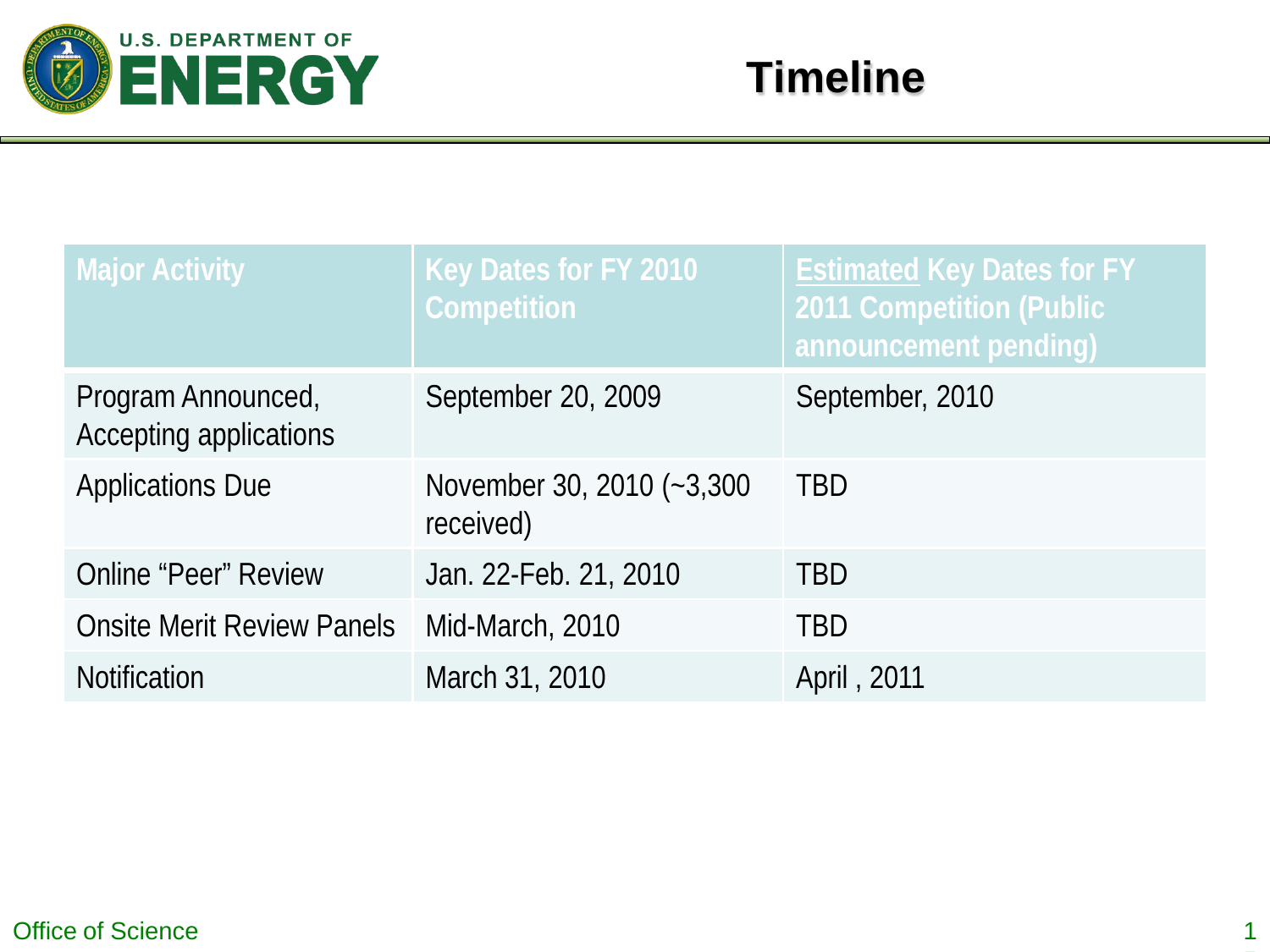

| <b>Major Activity</b>                        | Key Dates for FY 2010<br><b>Competition</b> | <b>Estimated Key Dates for FY</b><br><b>2011 Competition (Public</b><br>announcement pending) |
|----------------------------------------------|---------------------------------------------|-----------------------------------------------------------------------------------------------|
| Program Announced,<br>Accepting applications | September 20, 2009                          | September, 2010                                                                               |
| <b>Applications Due</b>                      | November 30, 2010 (~3,300<br>received)      | <b>TBD</b>                                                                                    |
| <b>Online "Peer" Review</b>                  | Jan. 22-Feb. 21, 2010                       | <b>TBD</b>                                                                                    |
| <b>Onsite Merit Review Panels</b>            | Mid-March, 2010                             | TBD                                                                                           |
| <b>Notification</b>                          | March 31, 2010                              | April, 2011                                                                                   |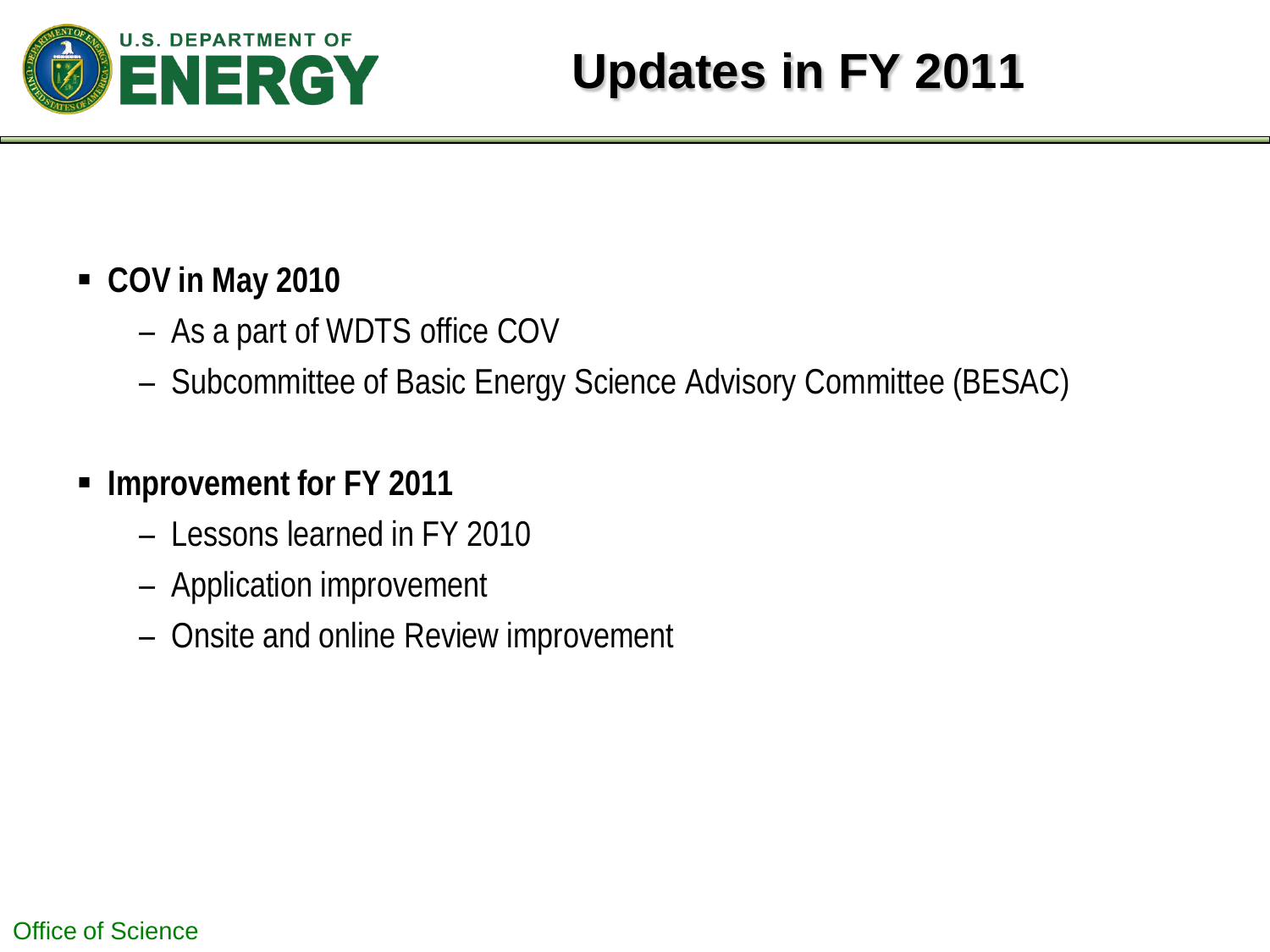

#### **COV in May 2010**

- As a part of WDTS office COV
- Subcommittee of Basic Energy Science Advisory Committee (BESAC)

## **Improvement for FY 2011**

- Lessons learned in FY 2010
- Application improvement
- Onsite and online Review improvement